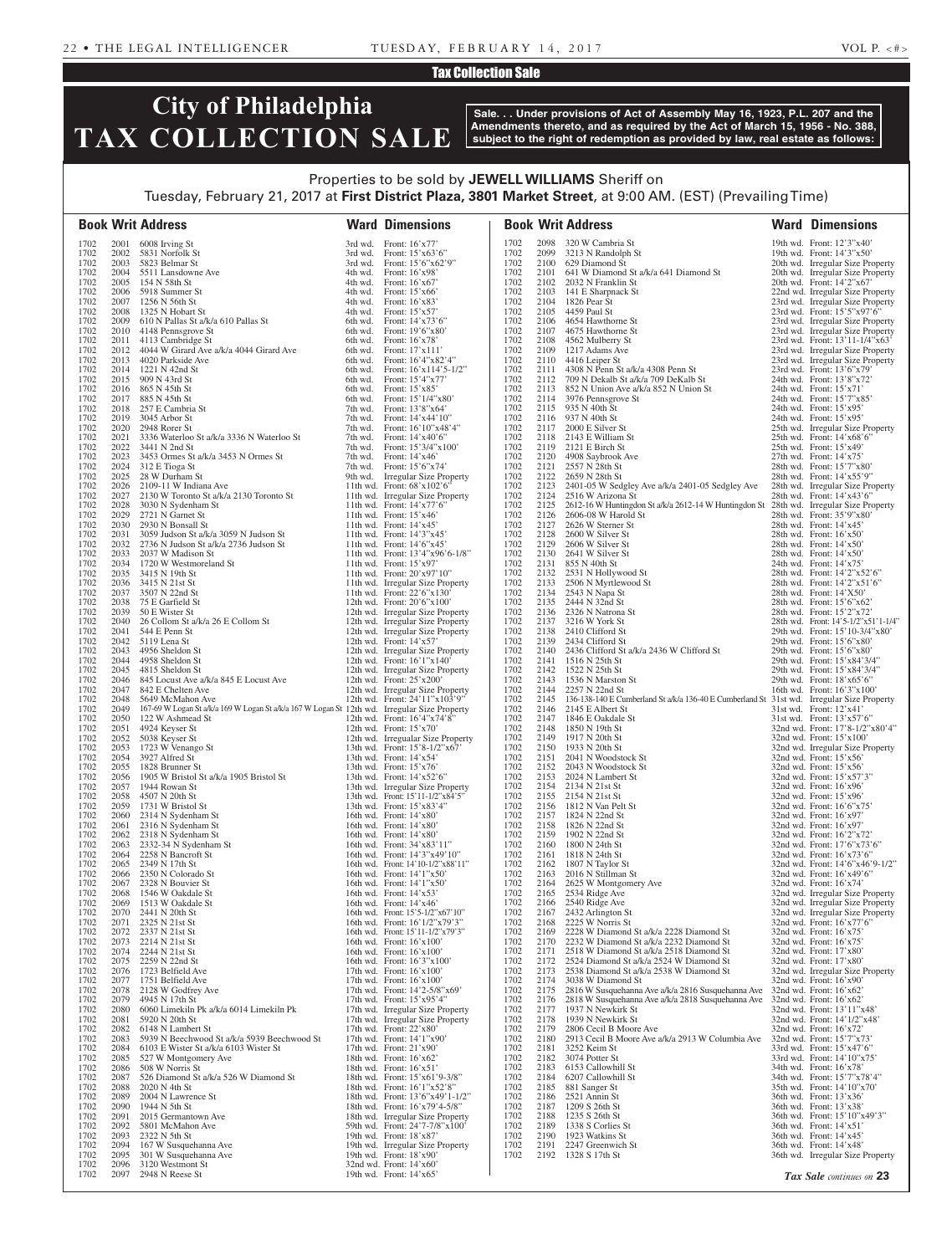### Tax Collection Sale

# **City of Philadelphia TAX COLLECTION SALE**

**Sale. . . Under provisions of Act of Assembly May 16, 1923, P.L. 207 and the Amendments thereto, and as required by the Act of March 15, 1956 - No. 388, subject to the right of redemption as provided by law, real estate as follows:**

## Properties to be sold by **JEWELL WILLIAMS** Sheriff on Tuesday, February 21, 2017 at **First District Plaza, 3801 Market Street**, at 9:00 AM. (EST) (Prevailing Time)

|              |              | <b>Book Writ Address</b>                                                                     | <b>Ward Dimensions</b>                                                                                  |              |              | <b>Book Writ Address</b>                                                                                    | <b>Ward Dimensions</b>                                                |
|--------------|--------------|----------------------------------------------------------------------------------------------|---------------------------------------------------------------------------------------------------------|--------------|--------------|-------------------------------------------------------------------------------------------------------------|-----------------------------------------------------------------------|
| 1702         |              | 2001 6008 Irving St                                                                          | 3rd wd. Front: $16'x77'$                                                                                | 1702         |              | 2098 320 W Cambria St                                                                                       | 19th wd. Front: 12'3"x40"                                             |
| 1702<br>1702 |              | 2002 5831 Norfolk St<br>2003 5823 Belmar St                                                  | 3rd wd. Front: $15^\circ \times 63^\circ 6$<br>3rd wd. Front: $15^{\circ}6^{\circ}x62^{\circ}9^{\circ}$ | 1702<br>1702 |              | 2099 3213 N Randolph St<br>2100 629 Diamond St                                                              | 19th wd. Front: $14'3''x50'$<br>20th wd. Irregular Size Property      |
| 1702         |              | 2004 5511 Lansdowne Ave                                                                      | 4th wd. Front: $16'x98'$                                                                                | 1702         | 2101         | 641 W Diamond St a/k/a 641 Diamond St                                                                       | 20th wd. Irregular Size Property                                      |
| 1702         | 2005         | 154 N 58th St                                                                                | 4th wd. Front: $16'x67'$                                                                                | 1702         | 2102         | 2032 N Franklin St                                                                                          | 20th wd. Front: 14'2"x67'                                             |
| 1702<br>1702 | 2007         | 2006 5918 Summer St<br>1256 N 56th St                                                        | 4th wd. Front: $15' \times 66'$<br>4th wd. Front: $16'x83'$                                             | 1702<br>1702 |              | 2103 141 E Sharpnack St<br>2104 1826 Pear St                                                                | 22nd wd. Irregular Size Property<br>23rd wd. Irregular Size Property  |
| 1702         |              | 2008 1325 N Hobart St                                                                        | 4th wd. Front: $15'x57'$                                                                                | 1702         |              | 2105 4459 Paul St                                                                                           | 23rd wd. Front: 15'5"x97'6"                                           |
| 1702<br>1702 |              | 2009 610 N Pallas St a/k/a 610 Pallas St<br>2010 4148 Pennsgrove St                          | 6th wd. Front: $14'x73'6''$<br>6th wd. Front: $19^{\circ}6^{\prime\prime} \times 80^{\prime\prime}$     | 1702<br>1702 | 2107         | 2106 4654 Hawthorne St<br>4675 Hawthorne St                                                                 | 23rd wd. Irregular Size Property<br>23rd wd. Irregular Size Property  |
| 1702         |              | 2011 4113 Cambridge St                                                                       | 6th wd. Front: $16'x78'$                                                                                | 1702         | 2108         | 4562 Mulberry St                                                                                            | 23rd wd. Front: 13'11-1/4"x63"                                        |
| 1702         |              | 2012 4044 W Girard Ave a/k/a 4044 Girard Ave                                                 | 6th wd. Front: $17'x111'$                                                                               | 1702         | 2109         | 1217 Adams Ave                                                                                              | 23rd wd. Irregular Size Property                                      |
| 1702<br>1702 |              | 2013 4020 Parkside Ave<br>2014 1221 N 42nd St                                                | 6th wd. Front: $16'4''x82'4''$<br>6th wd. Front: $16'x114'5-1/2"$                                       | 1702<br>1702 | 2111         | 2110 4416 Leiper St<br>4308 N Penn St a/k/a 4308 Penn St                                                    | 23rd wd. Irregular Size Property<br>23rd wd. Front: 13'6"x79"         |
| 1702         |              | 2015 909 N 43rd St                                                                           | 6th wd. Front: $15'4''x77'$                                                                             | 1702         |              | 2112 709 N Dekalb St a/k/a 709 DeKalb St                                                                    | 24th wd. Front: 13'8"x72"                                             |
| 1702<br>1702 |              | 2016 865 N 45th St<br>2017 885 N 45th St                                                     | 6th wd. Front: $15^\circ \times 85^\circ$<br>6th wd. Front: $15'1/4''x80'$                              | 1702<br>1702 |              | 2113 852 N Union Ave a/k/a 852 N Union St<br>2114 3976 Pennsgrove St                                        | 24th wd. Front: $15'x71'$<br>24th wd. Front: 15'7"x85'                |
| 1702         |              | 2018 257 E Cambria St                                                                        | 7th wd. Front: $13'8''x64'$                                                                             | 1702         |              | 2115 935 N 40th St                                                                                          | 24th wd. Front: $15'x95'$                                             |
| 1702<br>1702 | 2020         | 2019 3045 Arbor St                                                                           | 7th wd. Front: 14'x44'10"                                                                               | 1702         | 2117         | 2116 937 N 40th St                                                                                          | 24th wd. Front: $15'x95'$                                             |
| 1702         |              | 2948 Rorer St<br>2021 3336 Waterloo St a/k/a 3336 N Waterloo St                              | 7th wd. Front: 16'10"x48'4"<br>7th wd. Front: $14^\circ \times 40^\circ 6$                              | 1702<br>1702 |              | 2000 E Silver St<br>2118 2143 E William St                                                                  | 25th wd. Irregular Size Property<br>25th wd. Front: 14'x68'6"         |
| 1702         | 2022         | 3441 N 2nd St                                                                                | 7th wd. Front: 15'3/4"x100"                                                                             | 1702         |              | 2119 2121 E Birch St                                                                                        | 25th wd. Front: $15'x49'$                                             |
| 1702<br>1702 |              | 2023 3453 Ormes St a/k/a 3453 N Ormes St<br>2024 312 E Tioga St                              | 7th wd. Front: $14'x46'$<br>7th wd. Front: $15'6''x74'$                                                 | 1702<br>1702 | 2121         | 2120 4908 Saybrook Ave<br>2557 N 28th St                                                                    | 27th wd. Front: $14'x75'$<br>28th wd. Front: 15'7"x80"                |
| 1702         |              | 2025 28 W Durham St                                                                          | 9th wd. Irregular Size Property                                                                         | 1702         | 2122         | 2659 N 28th St                                                                                              | 28th wd. Front: 14'x55'9"                                             |
| 1702<br>1702 |              | 2026 2109-11 W Indiana Ave<br>2027 2130 W Toronto St a/k/a 2130 Toronto St                   | 11th wd. Front: $68'x102'6"$<br>11th wd. Irregular Size Property                                        | 1702<br>1702 | 2124         | 2123 2401-05 W Sedgley Ave a/k/a 2401-05 Sedgley Ave<br>2516 W Arizona St                                   | 28th wd. Irregular Size Property<br>28th wd. Front: 14'x43'6"         |
| 1702         |              | 2028 3030 N Sydenham St                                                                      | 11th wd. Front: 14'x77'6"                                                                               | 1702         | 2125         | 2612-16 W Huntingdon St a/k/a 2612-14 W Huntingdon St 28th wd. Irregular Size Property                      |                                                                       |
| 1702         |              | 2029 2721 N Garnet St                                                                        | 11th wd. Front: $15'x46'$                                                                               | 1702         | 2126         | 2606-08 W Harold St                                                                                         | 28th wd. Front: 35'9"x80"                                             |
| 1702<br>1702 |              | 2030 2930 N Bonsall St<br>2031 3059 Judson St a/k/a 3059 N Judson St                         | 11th wd. Front: 14'x45'<br>11th wd. Front: $14'3''x45'$                                                 | 1702<br>1702 | 2127<br>2128 | 2626 W Sterner St<br>2600 W Silver St                                                                       | 28th wd. Front: 14'x45'<br>28th wd. Front: $16'x50'$                  |
| 1702         | 2032         | 2736 N Judson St a/k/a 2736 Judson St                                                        | 11th wd. Front: $14'6''x45'$                                                                            | 1702         | 2129         | 2606 W Silver St                                                                                            | 28th wd. Front: $14'x50'$                                             |
| 1702<br>1702 | 2034         | 2033 2037 W Madison St<br>1720 W Westmoreland St                                             | 11th wd. Front: $13'4''x96'6-1/8''$<br>11th wd. Front: $15'x97'$                                        | 1702<br>1702 |              | 2130 2641 W Silver St<br>2131 855 N 40th St                                                                 | 28th wd. Front: $14'x50'$<br>24th wd. Front: $14'x75'$                |
| 1702         |              | 2035 3415 N 19th St                                                                          | 11th wd. Front: 20'x97'10"                                                                              | 1702         | 2132         | 2531 N Hollywood St                                                                                         | 28th wd. Front: 14'2"x52'6"                                           |
| 1702         |              | 2036 3415 N 21st St                                                                          | 11th wd. Irregular Size Property                                                                        | 1702         | 2133         | 2506 N Myrtlewood St                                                                                        | 28th wd. Front: $14'2''x51'6''$                                       |
| 1702<br>1702 | 2038         | 2037 3507 N 22nd St<br>75 E Garfield St                                                      | 11th wd. Front: 22'6"x130"<br>12th wd. Front: $20^{\circ}$ 6"x100"                                      | 1702<br>1702 | 2135         | 2134 2543 N Napa St<br>2444 N 32nd St                                                                       | 28th wd. Front: $14'X50'$<br>28th wd. Front: 15'6"x62"                |
| 1702         | 2039         | 50 E Wister St                                                                               | 12th wd. Irregular Size Property                                                                        | 1702         |              | 2136 2326 N Natrona St                                                                                      | 28th wd. Front: 15'2"x72"                                             |
| 1702<br>1702 |              | 2040 26 Collom St a/k/a 26 E Collom St<br>2041 544 E Penn St                                 | 12th wd. Irregular Size Property<br>12th wd. Irregular Size Property                                    | 1702<br>1702 | 2137         | 3216 W York St<br>2138 2410 Clifford St                                                                     | 28th wd. Front: 14'5-1/2"x51'1-1/4"<br>29th wd. Front: 15'10-3/4"x80" |
| 1702         |              | 2042 5119 Lena St                                                                            | 12th wd. Front: 14'x57'                                                                                 | 1702         |              | 2139 2434 Clifford St                                                                                       | 29th wd. Front: 15'6"x80"                                             |
| 1702<br>1702 | 2043         | 4956 Sheldon St                                                                              | 12th wd. Irregular Size Property                                                                        | 1702<br>1702 | 2140         | 2436 Clifford St a/k/a 2436 W Clifford St                                                                   | 29th wd. Front: 15'6"x80"                                             |
| 1702         | 2044         | 4958 Sheldon St<br>2045 4815 Sheldon St                                                      | 12th wd. Front: $16'1''x140'$<br>12th wd. Irregular Size Property                                       | 1702         |              | 2141 1516 N 25th St<br>2142 1522 N 25th St                                                                  | 29th wd. Front: 15'x84'3/4"<br>29th wd. Front: 15'x84'3/4"            |
| 1702         |              | 2046 845 Locust Ave a/k/a 845 E Locust Ave                                                   | 12th wd. Front: $25^\circ x200^\circ$                                                                   | 1702         | 2143         | 1536 N Marston St                                                                                           | 29th wd. Front: 18'x65'6"                                             |
| 1702<br>1702 |              | 2047 842 E Chelten Ave<br>2048 5649 McMahon Ave                                              | 12th wd. Irregular Size Property<br>12th wd. Front: $24'11''x103'9''$                                   | 1702<br>1702 | 2144<br>2145 | 2257 N 22nd St<br>136-138-140 E Cumberland St a/k/a 136-40 E Cumberland St 31st wd. Irregular Size Property | 16th wd. Front: 16'3"x100"                                            |
| 1702         | 2049         | 167-69 W Logan St a/k/a 169 W Logan St a/k/a 167 W Logan St 12th wd. Irregular Size Property |                                                                                                         | 1702         |              | 2146 2145 E Albert St                                                                                       | 31st wd. Front: 12'x41'                                               |
| 1702<br>1702 | 2050         | 122 W Ashmead St                                                                             | 12th wd. Front: 16'4"x74'8"                                                                             | 1702<br>1702 |              | 2147 1846 E Oakdale St                                                                                      | $31st$ wd. Front: $13'x57'6''$                                        |
| 1702         | 2051         | 4924 Keyser St<br>2052 5038 Keyser St                                                        | 12th wd. Front: $15'x70'$<br>12th wd. Irregualar Size Property                                          | 1702         |              | 2148 1850 N 19th St<br>2149 1917 N 20th St                                                                  | 32nd wd. Front: 17'8-1/2"x80'4"<br>32nd wd. Front: $15'x100'$         |
| 1702         | 2053         | 1723 W Venango St                                                                            | 13th wd. Front: 15'8-1/2"x67'                                                                           | 1702         |              | 2150 1933 N 20th St                                                                                         | 32nd wd. Irregular Size Property                                      |
| 1702<br>1702 | 2054<br>2055 | 3927 Alfred St<br>1828 Brunner St                                                            | 13th wd. Front: 14'x54'<br>13th wd. Front: $15'x76'$                                                    | 1702<br>1702 | 2151<br>2152 | 2041 N Woodstock St<br>2043 N Woodstock St                                                                  | 32nd wd. Front: $15'x56'$<br>32nd wd. Front: $15'x56'$                |
| 1702         | 2056         | 1905 W Bristol St a/k/a 1905 Bristol St                                                      | 13th wd. Front: 14'x52'6"                                                                               | 1702         | 2153         | 2024 N Lambert St                                                                                           | 32nd wd. Front: 15'x57'3"                                             |
| 1702<br>1702 | 2057<br>2058 | 1944 Rowan St<br>4507 N 20th St                                                              | 13th wd. Irregular Size Property<br>13th wd. Front: 15'11-1/2"x84'5"                                    | 1702<br>1702 |              | 2154 2134 N 21st St<br>2155 2154 N 21st St                                                                  | 32nd wd. Front: 16'x96'<br>32nd wd. Front: $15'x96'$                  |
| 1702         | 2059         | 1731 W Bristol St                                                                            | 13th wd. Front: 15'x83'4"                                                                               | 1702         |              | 2156 1812 N Van Pelt St                                                                                     | 32nd wd. Front: $16'6''x75'$                                          |
| 1702         | 2060         | 2314 N Sydenham St                                                                           | 16th wd. Front: 14'x80'                                                                                 | 1702         | 2157         | 1824 N 22nd St                                                                                              | 32nd wd. Front: 16'x97'                                               |
| 1702<br>1702 | 2061<br>2062 | 2316 N Sydenham St<br>2318 N Sydenham St                                                     | 16th wd. Front: 14'x80'<br>16th wd. Front: 14'x80'                                                      | 1702<br>1702 |              | 2158 1826 N 22nd St<br>2159 1902 N 22nd St                                                                  | 32nd wd. Front: 16'x97'<br>32nd wd. Front: 16'2"x72"                  |
| 1702         | 2063         | 2332-34 N Sydenham St                                                                        | 16th wd. Front: 34'x83'11"                                                                              | 1702         | 2160         | 1800 N 24th St                                                                                              | 32nd wd. Front: 17'6"x73'6"                                           |
| 1702<br>1702 | 2064<br>2065 | 2258 N Bancroft St<br>2349 N 17th St                                                         | 16th wd. Front: 14'3"x49'10"<br>16th wd. Front: 14'10-1/2"x88'11"                                       | 1702<br>1702 | 2161<br>2162 | 1818 N 24th St<br>1807 N Taylor St                                                                          | 32nd wd. Front: 16'x73'6"<br>32nd wd. Front: 14'6"x46'9-1/2"          |
| 1702         | 2066         | 2350 N Colorado St                                                                           | 16th wd. Front: 14'1"x50"                                                                               | 1702         | 2163         | 2016 N Stillman St                                                                                          | 32nd wd. Front: 16'x49'6"                                             |
| 1702<br>1702 | 2068         | 2067 2328 N Bouvier St<br>1546 W Oakdale St                                                  | 16th wd. Front: 14'1"x50"<br>16th wd. Front: $14'x53'$                                                  | 1702<br>1702 | 2164<br>2165 | 2625 W Montgomery Ave<br>2534 Ridge Ave                                                                     | 32nd wd. Front: 16'x74'<br>32nd wd. Irregular Size Property           |
| 1702         | 2069         | 1513 W Oakdale St                                                                            | 16th wd. Front: 14'x46'                                                                                 | 1702         | 2166         | 2540 Ridge Ave                                                                                              | 32nd wd. Irregular Size Property                                      |
| 1702         |              | 2070 2441 N 20th St                                                                          | 16th wd. Front: 15'5-1/2"x67'10"                                                                        | 1702         | 2167         | 2432 Arlington St                                                                                           | 32nd wd. Irregular Size Property                                      |
| 1702<br>1702 | 2071         | 2325 N 21st St<br>2072 2337 N 21st St                                                        | 16th wd. Front: 16'1/2"x79'3"<br>16th wd. Front: 15'11-1/2"x79'3"                                       | 1702<br>1702 | 2168<br>2169 | 2225 W Norris St<br>2228 W Diamond St a/k/a 2228 Diamond St                                                 | 32nd wd. Front: 16'x77'6"<br>32nd wd. Front: $16'x75'$                |
| 1702         |              | 2073 2214 N 21st St                                                                          | 16th wd. Front: 16'x100'                                                                                | 1702         | 2170         | 2232 W Diamond St a/k/a 2232 Diamond St                                                                     | 32nd wd. Front: 16'x75'                                               |
| 1702<br>1702 | 2074<br>2075 | 2244 N 21st St<br>2259 N 22nd St                                                             | 16th wd. Front: $16'x100'$<br>16th wd. Front: $16'3''x100'$                                             | 1702<br>1702 | 2171<br>2172 | 2518 W Diamond St a/k/a 2518 Diamond St<br>2524 Diamond St a/k/a 2524 W Diamond St                          | 32nd wd. Front: 17'x80'<br>32nd wd. Front: 17'x80'                    |
| 1702         | 2076         | 1723 Belfield Ave                                                                            | 17th wd. Front: $16'x100'$                                                                              | 1702         | 2173         | 2538 Diamond St a/k/a 2538 W Diamond St                                                                     | 32nd wd. Irregular Size Property                                      |
| 1702<br>1702 | 2078         | 2077 1751 Belfield Ave                                                                       | 17th wd. Front: $16'x100'$                                                                              | 1702<br>1702 | 2174<br>2175 | 3038 W Diamond St                                                                                           | 32nd wd. Front: 16'x90'                                               |
| 1702         | 2079         | 2128 W Godfrey Ave<br>4945 N 17th St                                                         | 17th wd. Front: 14'2-5/8"x69"<br>17th wd. Front: 15'x95'4"                                              | 1702         | 2176         | 2816 W Susquehanna Ave a/k/a 2816 Susquehanna Ave<br>2818 W Susquehanna Ave a/k/a 2818 Susquehanna Ave      | 32nd wd. Front: $16'x62'$<br>32nd wd. Front: $16'x62'$                |
| 1702         | 2080         | 6060 Limekiln Pk a/k/a 6014 Limekiln Pk                                                      | 17th wd. Irregular Size Property                                                                        | 1702         | 2177         | 1937 N Newkirk St                                                                                           | 32nd wd. Front: 13'11"x48'                                            |
| 1702<br>1702 | 2081<br>2082 | 5920 N 20th St<br>6148 N Lambert St                                                          | 17th wd. Irregular Size Property<br>17th wd. Front: $22^\prime x80^\prime$                              | 1702<br>1702 | 2178<br>2179 | 1939 N Newkirk St<br>2806 Cecil B Moore Ave                                                                 | 32nd wd. Front: 14'1/2"x48'<br>32nd wd. Front: $16'x72'$              |
| 1702         | 2083         | 5939 N Beechwood St a/k/a 5939 Beechwood St                                                  | 17th wd. Front: $14'1''x90'$                                                                            | 1702         | 2180         | 2913 Cecil B Moore Ave a/k/a 2913 W Columbia Ave                                                            | 32nd wd. Front: 15'7"x73'                                             |
| 1702<br>1702 | 2084         | 6103 E Wister St a/k/a 6103 Wister St<br>2085 527 W Montgomery Ave                           | 17th wd. Front: 21'x90'<br>18th wd. Front: $16'x62'$                                                    | 1702<br>1702 | 2181         | 3252 Keim St<br>2182 3074 Potter St                                                                         | 33rd wd. Front: 15'x47'6"<br>33rd wd. Front: 14'10"x75'               |
| 1702         | 2086         | 508 W Norris St                                                                              | 18th wd. Front: $16'x51'$                                                                               | 1702         | 2183         | 6153 Callowhill St                                                                                          | 34th wd. Front: 16'x78'                                               |
| 1702         | 2087         | 526 Diamond St a/k/a 526 W Diamond St                                                        | 18th wd. Front: 15'x61'9-3/8"                                                                           | 1702         | 2184         | 6207 Callowhill St                                                                                          | 34th wd. Front: 15'7"x78'4"                                           |
| 1702<br>1702 | 2088<br>2089 | 2020 N 4th St<br>2004 N Lawrence St                                                          | 18th wd. Front: $16'1''x52'8''$<br>18th wd. Front: 13'6"x49'1-1/2"                                      | 1702<br>1702 | 2185<br>2186 | 881 Sanger St<br>2521 Annin St                                                                              | 35th wd. Front: 14'10"x70"<br>36th wd. Front: 13'x36'                 |
| 1702         | 2090         | 1944 N 5th St                                                                                | 18th wd. Front: 16'x79'4-5/8"                                                                           | 1702         |              | 2187 1209 S 26th St                                                                                         | 36th wd. Front: 13'x38'                                               |
| 1702<br>1702 | 2091         | 2015 Germantown Ave<br>2092 5801 McMahon Ave                                                 | 18th wd. Irregular Size Property<br>59th wd. Front: 24'7-7/8"x100'                                      | 1702<br>1702 |              | 2188 1235 S 26th St<br>2189 1338 S Corlies St                                                               | 36th wd. Front: 15'10"x49'3"<br>36th wd. Front: 14'x51'               |
| 1702         | 2093         | 2322 N 5th St                                                                                | 19th wd. Front: 18'x87'                                                                                 | 1702         |              | 2190 1923 Watkins St                                                                                        | 36th wd. Front: 14'x45'                                               |
| 1702<br>1702 | 2094<br>2095 | 167 W Susquehanna Ave<br>301 W Susquehanna Ave                                               | 19th wd. Irregular Size Property<br>19th wd. Front: 18'x90'                                             | 1702<br>1702 | 2191         | 2247 Greenwich St<br>2192 1328 S 17th St                                                                    | 36th wd. Front: 14'x48'<br>36th wd. Irregular Size Property           |
| 1702         | 2096         | 3120 Westmont St                                                                             | 32nd wd. Front: 14'x60'                                                                                 |              |              |                                                                                                             |                                                                       |
| 1702         | 2097         | 2948 N Reese St                                                                              | 19th wd. Front: 14'x65'                                                                                 |              |              |                                                                                                             | Tax Sale continues on 23                                              |